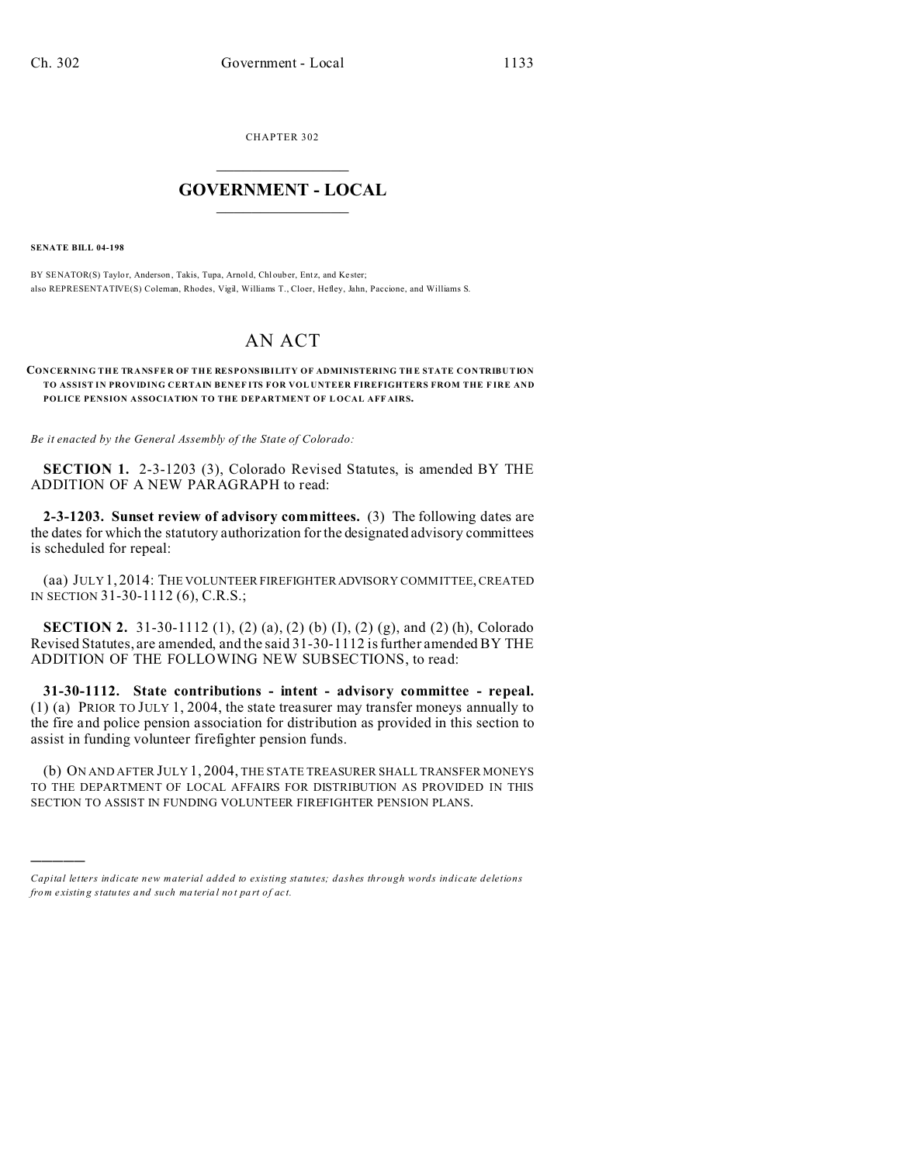CHAPTER 302  $\overline{\phantom{a}}$  , where  $\overline{\phantom{a}}$ 

## **GOVERNMENT - LOCAL**  $\_$   $\_$

**SENATE BILL 04-198**

)))))

BY SENATOR(S) Taylor, Anderson, Takis, Tupa, Arnold, Chlouber, Entz, and Kester; also REPRESENTATIVE(S) Coleman, Rhodes, Vigil, Williams T., Cloer, Hefley, Jahn, Paccione, and Williams S.

## AN ACT

## **CONCERNING THE TRANSFER OF THE RESPONSIBILITY OF ADMINISTERING TH E STATE CONTRIBUTION TO ASSIST IN PROVIDING CERTAIN BENEF ITS FOR VOL UNTEER FIREFIGHTERS FROM THE F IRE AND POLICE PENSION ASSOCIATION TO THE DEPARTMENT OF L OCAL AFF AIRS.**

*Be it enacted by the General Assembly of the State of Colorado:*

**SECTION 1.** 2-3-1203 (3), Colorado Revised Statutes, is amended BY THE ADDITION OF A NEW PARAGRAPH to read:

**2-3-1203. Sunset review of advisory committees.** (3) The following dates are the dates for which the statutory authorization for the designated advisory committees is scheduled for repeal:

(aa) JULY 1, 2014: THE VOLUNTEER FIREFIGHTER ADVISORY COMMITTEE, CREATED IN SECTION 31-30-1112 (6), C.R.S.;

**SECTION 2.** 31-30-1112 (1), (2) (a), (2) (b) (I), (2) (g), and (2) (h), Colorado Revised Statutes, are amended, and the said 31-30-1112 is further amended BY THE ADDITION OF THE FOLLOWING NEW SUBSECTIONS, to read:

**31-30-1112. State contributions - intent - advisory committee - repeal.** (1) (a) PRIOR TO JULY 1, 2004, the state treasurer may transfer moneys annually to the fire and police pension association for distribution as provided in this section to assist in funding volunteer firefighter pension funds.

(b) ON AND AFTER JULY 1, 2004, THE STATE TREASURER SHALL TRANSFER MONEYS TO THE DEPARTMENT OF LOCAL AFFAIRS FOR DISTRIBUTION AS PROVIDED IN THIS SECTION TO ASSIST IN FUNDING VOLUNTEER FIREFIGHTER PENSION PLANS.

*Capital letters indicate new material added to existing statutes; dashes through words indicate deletions from e xistin g statu tes a nd such ma teria l no t pa rt of ac t.*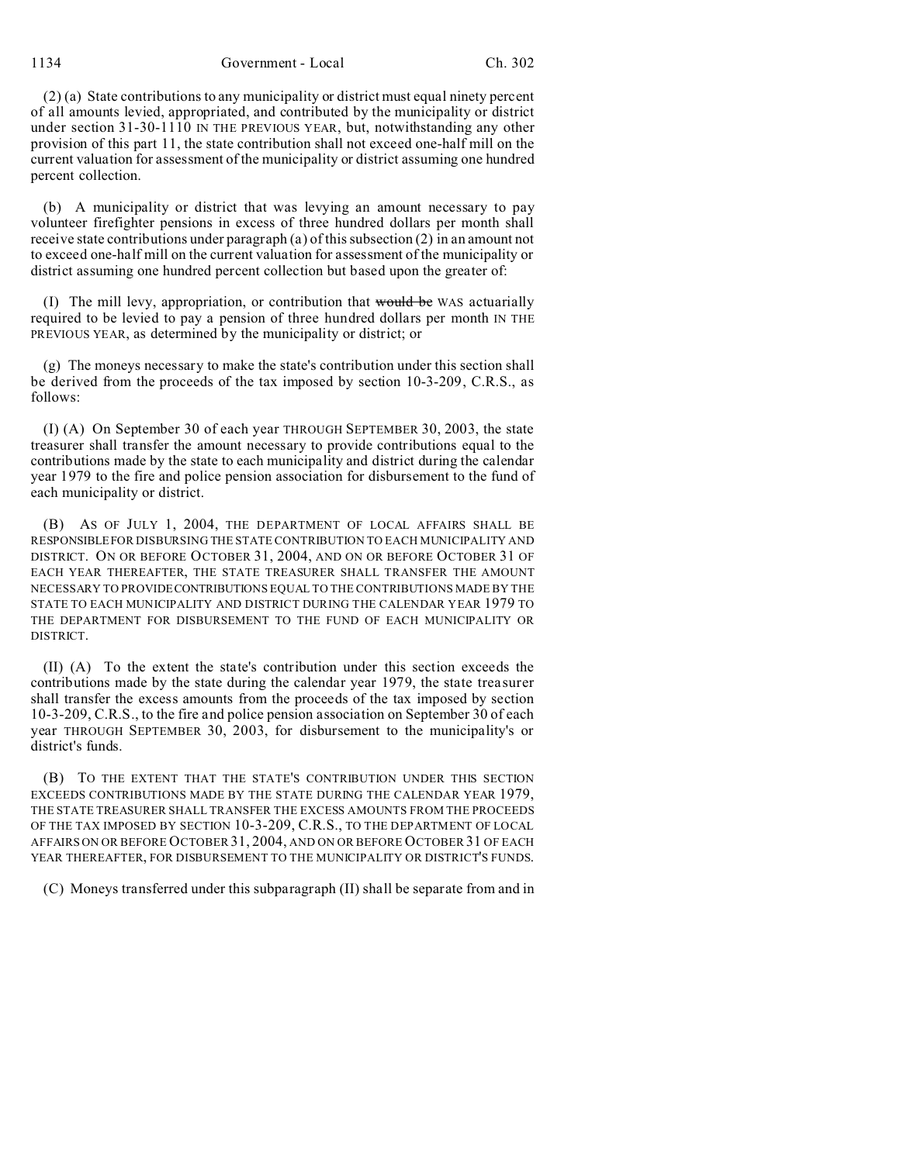1134 Government - Local Ch. 302

(2) (a) State contributions to any municipality or district must equal ninety percent of all amounts levied, appropriated, and contributed by the municipality or district under section 31-30-1110 IN THE PREVIOUS YEAR, but, notwithstanding any other provision of this part 11, the state contribution shall not exceed one-half mill on the current valuation for assessment of the municipality or district assuming one hundred percent collection.

(b) A municipality or district that was levying an amount necessary to pay volunteer firefighter pensions in excess of three hundred dollars per month shall receive state contributions under paragraph (a) of this subsection (2) in an amount not to exceed one-half mill on the current valuation for assessment of the municipality or district assuming one hundred percent collection but based upon the greater of:

(I) The mill levy, appropriation, or contribution that would be WAS actuarially required to be levied to pay a pension of three hundred dollars per month IN THE PREVIOUS YEAR, as determined by the municipality or district; or

(g) The moneys necessary to make the state's contribution under this section shall be derived from the proceeds of the tax imposed by section 10-3-209, C.R.S., as follows:

(I) (A) On September 30 of each year THROUGH SEPTEMBER 30, 2003, the state treasurer shall transfer the amount necessary to provide contributions equal to the contributions made by the state to each municipality and district during the calendar year 1979 to the fire and police pension association for disbursement to the fund of each municipality or district.

(B) AS OF JULY 1, 2004, THE DEPARTMENT OF LOCAL AFFAIRS SHALL BE RESPONSIBLEFOR DISBURSING THE STATE CONTRIBUTION TO EACH MUNICIPALITY AND DISTRICT. ON OR BEFORE OCTOBER 31, 2004, AND ON OR BEFORE OCTOBER 31 OF EACH YEAR THEREAFTER, THE STATE TREASURER SHALL TRANSFER THE AMOUNT NECESSARY TO PROVIDECONTRIBUTIONS EQUAL TO THE CONTRIBUTIONS MADE BY THE STATE TO EACH MUNICIPALITY AND DISTRICT DURING THE CALENDAR YEAR 1979 TO THE DEPARTMENT FOR DISBURSEMENT TO THE FUND OF EACH MUNICIPALITY OR DISTRICT.

(II) (A) To the extent the state's contribution under this section exceeds the contributions made by the state during the calendar year 1979, the state treasurer shall transfer the excess amounts from the proceeds of the tax imposed by section 10-3-209, C.R.S., to the fire and police pension association on September 30 of each year THROUGH SEPTEMBER 30, 2003, for disbursement to the municipality's or district's funds.

(B) TO THE EXTENT THAT THE STATE'S CONTRIBUTION UNDER THIS SECTION EXCEEDS CONTRIBUTIONS MADE BY THE STATE DURING THE CALENDAR YEAR 1979, THE STATE TREASURER SHALL TRANSFER THE EXCESS AMOUNTS FROM THE PROCEEDS OF THE TAX IMPOSED BY SECTION 10-3-209, C.R.S., TO THE DEPARTMENT OF LOCAL AFFAIRS ON OR BEFORE OCTOBER 31, 2004, AND ON OR BEFORE OCTOBER 31 OF EACH YEAR THEREAFTER, FOR DISBURSEMENT TO THE MUNICIPALITY OR DISTRICT'S FUNDS.

(C) Moneys transferred under this subparagraph (II) shall be separate from and in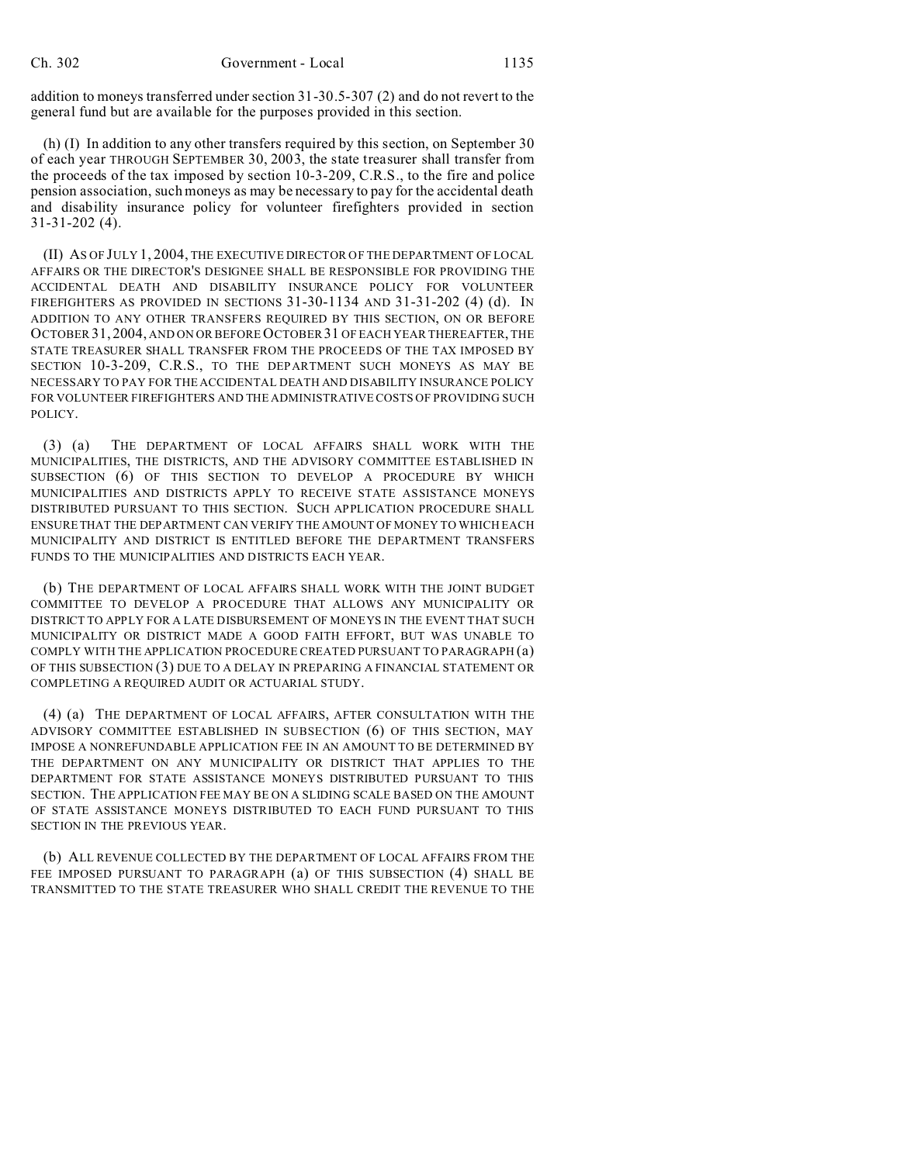addition to moneys transferred under section 31-30.5-307 (2) and do not revert to the general fund but are available for the purposes provided in this section.

(h) (I) In addition to any other transfers required by this section, on September 30 of each year THROUGH SEPTEMBER 30, 2003, the state treasurer shall transfer from the proceeds of the tax imposed by section 10-3-209, C.R.S., to the fire and police pension association, such moneys as may be necessary to pay for the accidental death and disability insurance policy for volunteer firefighters provided in section 31-31-202 (4).

(II) AS OF JULY 1, 2004, THE EXECUTIVE DIRECTOR OF THE DEPARTMENT OF LOCAL AFFAIRS OR THE DIRECTOR'S DESIGNEE SHALL BE RESPONSIBLE FOR PROVIDING THE ACCIDENTAL DEATH AND DISABILITY INSURANCE POLICY FOR VOLUNTEER FIREFIGHTERS AS PROVIDED IN SECTIONS 31-30-1134 AND 31-31-202 (4) (d). IN ADDITION TO ANY OTHER TRANSFERS REQUIRED BY THIS SECTION, ON OR BEFORE OCTOBER 31, 2004, AND ON OR BEFORE OCTOBER 31 OF EACH YEAR THEREAFTER, THE STATE TREASURER SHALL TRANSFER FROM THE PROCEEDS OF THE TAX IMPOSED BY SECTION 10-3-209, C.R.S., TO THE DEPARTMENT SUCH MONEYS AS MAY BE NECESSARY TO PAY FOR THE ACCIDENTAL DEATH AND DISABILITY INSURANCE POLICY FOR VOLUNTEER FIREFIGHTERS AND THE ADMINISTRATIVE COSTS OF PROVIDING SUCH POLICY.

(3) (a) THE DEPARTMENT OF LOCAL AFFAIRS SHALL WORK WITH THE MUNICIPALITIES, THE DISTRICTS, AND THE ADVISORY COMMITTEE ESTABLISHED IN SUBSECTION (6) OF THIS SECTION TO DEVELOP A PROCEDURE BY WHICH MUNICIPALITIES AND DISTRICTS APPLY TO RECEIVE STATE ASSISTANCE MONEYS DISTRIBUTED PURSUANT TO THIS SECTION. SUCH APPLICATION PROCEDURE SHALL ENSURE THAT THE DEPARTMENT CAN VERIFY THE AMOUNT OF MONEY TO WHICH EACH MUNICIPALITY AND DISTRICT IS ENTITLED BEFORE THE DEPARTMENT TRANSFERS FUNDS TO THE MUNICIPALITIES AND DISTRICTS EACH YEAR.

(b) THE DEPARTMENT OF LOCAL AFFAIRS SHALL WORK WITH THE JOINT BUDGET COMMITTEE TO DEVELOP A PROCEDURE THAT ALLOWS ANY MUNICIPALITY OR DISTRICT TO APPLY FOR A LATE DISBURSEMENT OF MONEYS IN THE EVENT THAT SUCH MUNICIPALITY OR DISTRICT MADE A GOOD FAITH EFFORT, BUT WAS UNABLE TO COMPLY WITH THE APPLICATION PROCEDURE CREATED PURSUANT TO PARAGRAPH (a) OF THIS SUBSECTION (3) DUE TO A DELAY IN PREPARING A FINANCIAL STATEMENT OR COMPLETING A REQUIRED AUDIT OR ACTUARIAL STUDY.

(4) (a) THE DEPARTMENT OF LOCAL AFFAIRS, AFTER CONSULTATION WITH THE ADVISORY COMMITTEE ESTABLISHED IN SUBSECTION (6) OF THIS SECTION, MAY IMPOSE A NONREFUNDABLE APPLICATION FEE IN AN AMOUNT TO BE DETERMINED BY THE DEPARTMENT ON ANY MUNICIPALITY OR DISTRICT THAT APPLIES TO THE DEPARTMENT FOR STATE ASSISTANCE MONEYS DISTRIBUTED PURSUANT TO THIS SECTION. THE APPLICATION FEE MAY BE ON A SLIDING SCALE BASED ON THE AMOUNT OF STATE ASSISTANCE MONEYS DISTRIBUTED TO EACH FUND PURSUANT TO THIS SECTION IN THE PREVIOUS YEAR.

(b) ALL REVENUE COLLECTED BY THE DEPARTMENT OF LOCAL AFFAIRS FROM THE FEE IMPOSED PURSUANT TO PARAGRAPH (a) OF THIS SUBSECTION (4) SHALL BE TRANSMITTED TO THE STATE TREASURER WHO SHALL CREDIT THE REVENUE TO THE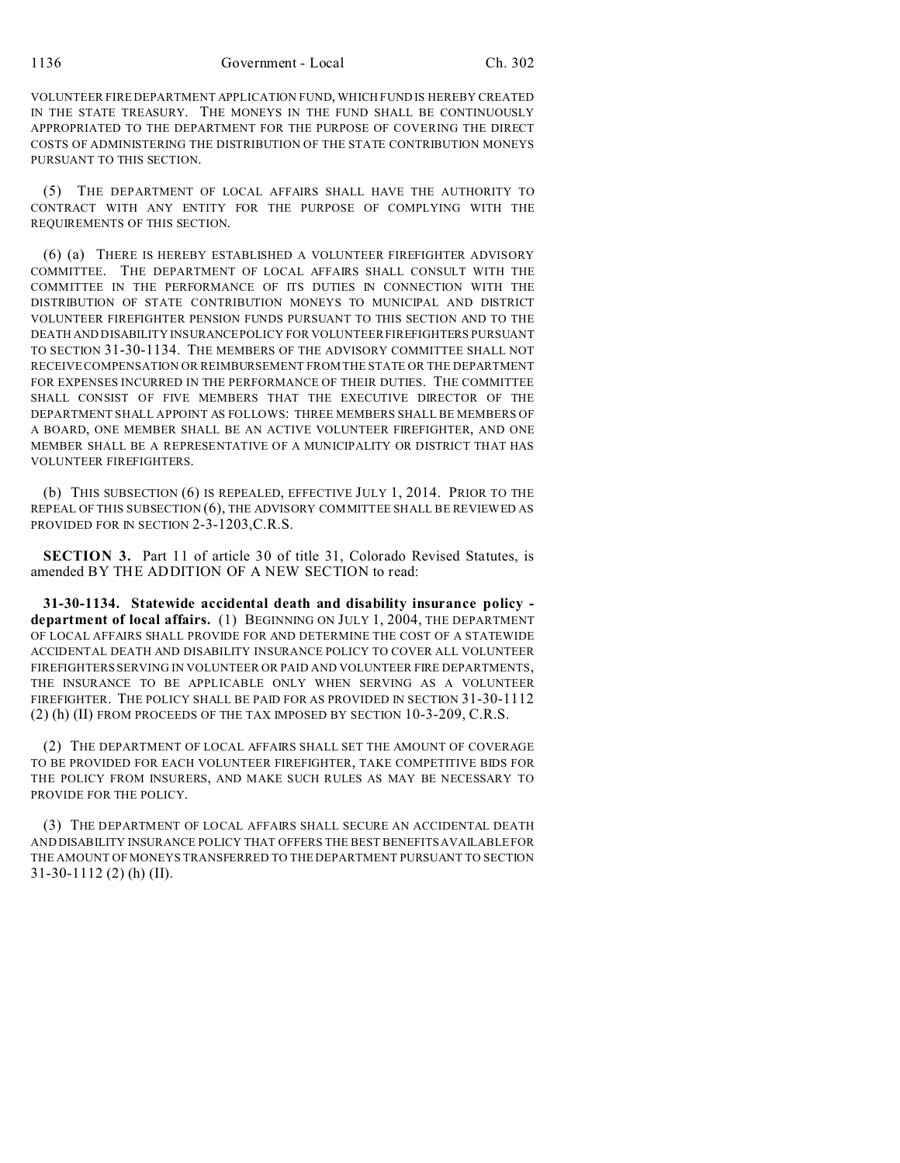VOLUNTEER FIRE DEPARTMENT APPLICATION FUND, WHICH FUND IS HEREBY CREATED IN THE STATE TREASURY. THE MONEYS IN THE FUND SHALL BE CONTINUOUSLY APPROPRIATED TO THE DEPARTMENT FOR THE PURPOSE OF COVERING THE DIRECT COSTS OF ADMINISTERING THE DISTRIBUTION OF THE STATE CONTRIBUTION MONEYS PURSUANT TO THIS SECTION.

(5) THE DEPARTMENT OF LOCAL AFFAIRS SHALL HAVE THE AUTHORITY TO CONTRACT WITH ANY ENTITY FOR THE PURPOSE OF COMPLYING WITH THE REQUIREMENTS OF THIS SECTION.

(6) (a) THERE IS HEREBY ESTABLISHED A VOLUNTEER FIREFIGHTER ADVISORY COMMITTEE. THE DEPARTMENT OF LOCAL AFFAIRS SHALL CONSULT WITH THE COMMITTEE IN THE PERFORMANCE OF ITS DUTIES IN CONNECTION WITH THE DISTRIBUTION OF STATE CONTRIBUTION MONEYS TO MUNICIPAL AND DISTRICT VOLUNTEER FIREFIGHTER PENSION FUNDS PURSUANT TO THIS SECTION AND TO THE DEATH AND DISABILITY INSURANCE POLICY FOR VOLUNTEER FIREFIGHTERS PURSUANT TO SECTION 31-30-1134. THE MEMBERS OF THE ADVISORY COMMITTEE SHALL NOT RECEIVE COMPENSATION OR REIMBURSEMENT FROM THE STATE OR THE DEPARTMENT FOR EXPENSES INCURRED IN THE PERFORMANCE OF THEIR DUTIES. THE COMMITTEE SHALL CONSIST OF FIVE MEMBERS THAT THE EXECUTIVE DIRECTOR OF THE DEPARTMENT SHALL APPOINT AS FOLLOWS: THREE MEMBERS SHALL BE MEMBERS OF A BOARD, ONE MEMBER SHALL BE AN ACTIVE VOLUNTEER FIREFIGHTER, AND ONE MEMBER SHALL BE A REPRESENTATIVE OF A MUNICIPALITY OR DISTRICT THAT HAS VOLUNTEER FIREFIGHTERS.

(b) THIS SUBSECTION (6) IS REPEALED, EFFECTIVE JULY 1, 2014. PRIOR TO THE REPEAL OF THIS SUBSECTION (6), THE ADVISORY COMMITTEE SHALL BE REVIEWED AS PROVIDED FOR IN SECTION 2-3-1203, C.R.S.

**SECTION 3.** Part 11 of article 30 of title 31, Colorado Revised Statutes, is amended BY THE ADDITION OF A NEW SECTION to read:

**31-30-1134. Statewide accidental death and disability insurance policy department of local affairs.** (1) BEGINNING ON JULY 1, 2004, THE DEPARTMENT OF LOCAL AFFAIRS SHALL PROVIDE FOR AND DETERMINE THE COST OF A STATEWIDE ACCIDENTAL DEATH AND DISABILITY INSURANCE POLICY TO COVER ALL VOLUNTEER FIREFIGHTERS SERVING IN VOLUNTEER OR PAID AND VOLUNTEER FIRE DEPARTMENTS, THE INSURANCE TO BE APPLICABLE ONLY WHEN SERVING AS A VOLUNTEER FIREFIGHTER. THE POLICY SHALL BE PAID FOR AS PROVIDED IN SECTION 31-30-1112 (2) (h) (II) FROM PROCEEDS OF THE TAX IMPOSED BY SECTION 10-3-209, C.R.S.

(2) THE DEPARTMENT OF LOCAL AFFAIRS SHALL SET THE AMOUNT OF COVERAGE TO BE PROVIDED FOR EACH VOLUNTEER FIREFIGHTER, TAKE COMPETITIVE BIDS FOR THE POLICY FROM INSURERS, AND MAKE SUCH RULES AS MAY BE NECESSARY TO PROVIDE FOR THE POLICY.

(3) THE DEPARTMENT OF LOCAL AFFAIRS SHALL SECURE AN ACCIDENTAL DEATH AND DISABILITY INSURANCE POLICY THAT OFFERS THE BEST BENEFITS AVAILABLE FOR THE AMOUNT OF MONEYS TRANSFERRED TO THE DEPARTMENT PURSUANT TO SECTION 31-30-1112 (2) (h) (II).